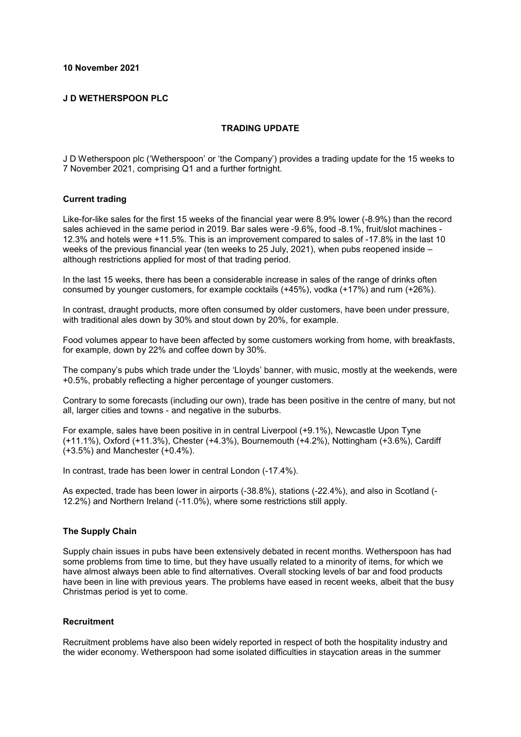# **10 November 2021**

# **J D WETHERSPOON PLC**

# **TRADING UPDATE**

J D Wetherspoon plc ('Wetherspoon' or 'the Company') provides a trading update for the 15 weeks to 7 November 2021, comprising Q1 and a further fortnight.

#### **Current trading**

Like-for-like sales for the first 15 weeks of the financial year were 8.9% lower (-8.9%) than the record sales achieved in the same period in 2019. Bar sales were -9.6%, food -8.1%, fruit/slot machines - 12.3% and hotels were +11.5%. This is an improvement compared to sales of -17.8% in the last 10 weeks of the previous financial year (ten weeks to 25 July, 2021), when pubs reopened inside – although restrictions applied for most of that trading period.

In the last 15 weeks, there has been a considerable increase in sales of the range of drinks often consumed by younger customers, for example cocktails (+45%), vodka (+17%) and rum (+26%).

In contrast, draught products, more often consumed by older customers, have been under pressure, with traditional ales down by 30% and stout down by 20%, for example.

Food volumes appear to have been affected by some customers working from home, with breakfasts, for example, down by 22% and coffee down by 30%.

The company's pubs which trade under the 'Lloyds' banner, with music, mostly at the weekends, were +0.5%, probably reflecting a higher percentage of younger customers.

Contrary to some forecasts (including our own), trade has been positive in the centre of many, but not all, larger cities and towns - and negative in the suburbs.

For example, sales have been positive in in central Liverpool (+9.1%), Newcastle Upon Tyne (+11.1%), Oxford (+11.3%), Chester (+4.3%), Bournemouth (+4.2%), Nottingham (+3.6%), Cardiff (+3.5%) and Manchester (+0.4%).

In contrast, trade has been lower in central London (-17.4%).

As expected, trade has been lower in airports (-38.8%), stations (-22.4%), and also in Scotland (- 12.2%) and Northern Ireland (-11.0%), where some restrictions still apply.

# **The Supply Chain**

Supply chain issues in pubs have been extensively debated in recent months. Wetherspoon has had some problems from time to time, but they have usually related to a minority of items, for which we have almost always been able to find alternatives. Overall stocking levels of bar and food products have been in line with previous years. The problems have eased in recent weeks, albeit that the busy Christmas period is yet to come.

# **Recruitment**

Recruitment problems have also been widely reported in respect of both the hospitality industry and the wider economy. Wetherspoon had some isolated difficulties in staycation areas in the summer